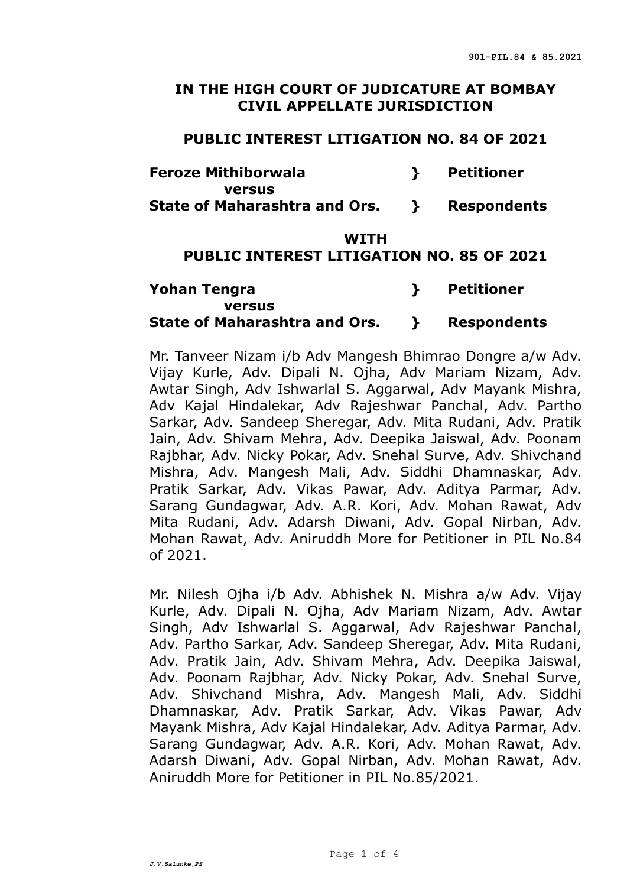#### **IN THE HIGH COURT OF JUDICATURE AT BOMBAY CIVIL APPELLATE JURISDICTION**

#### **PUBLIC INTEREST LITIGATION NO. 84 OF 2021**

| <b>Feroze Mithiborwala</b>           | Petitioner  |
|--------------------------------------|-------------|
| <b>versus</b>                        |             |
| <b>State of Maharashtra and Ors.</b> | Respondents |

#### **WITH**

# **PUBLIC INTEREST LITIGATION NO. 85 OF 2021**

# **Yohan Tengra } Petitioner versus State of Maharashtra and Ors. } Respondents**

Mr. Tanveer Nizam i/b Adv Mangesh Bhimrao Dongre a/w Adv. Vijay Kurle, Adv. Dipali N. Ojha, Adv Mariam Nizam, Adv. Awtar Singh, Adv Ishwarlal S. Aggarwal, Adv Mayank Mishra, Adv Kajal Hindalekar, Adv Rajeshwar Panchal, Adv. Partho Sarkar, Adv. Sandeep Sheregar, Adv. Mita Rudani, Adv. Pratik Jain, Adv. Shivam Mehra, Adv. Deepika Jaiswal, Adv. Poonam Rajbhar, Adv. Nicky Pokar, Adv. Snehal Surve, Adv. Shivchand Mishra, Adv. Mangesh Mali, Adv. Siddhi Dhamnaskar, Adv. Pratik Sarkar, Adv. Vikas Pawar, Adv. Aditya Parmar, Adv. Sarang Gundagwar, Adv. A.R. Kori, Adv. Mohan Rawat, Adv Mita Rudani, Adv. Adarsh Diwani, Adv. Gopal Nirban, Adv. Mohan Rawat, Adv. Aniruddh More for Petitioner in PIL No.84 of 2021.

Mr. Nilesh Ojha i/b Adv. Abhishek N. Mishra a/w Adv. Vijay Kurle, Adv. Dipali N. Ojha, Adv Mariam Nizam, Adv. Awtar Singh, Adv Ishwarlal S. Aggarwal, Adv Rajeshwar Panchal, Adv. Partho Sarkar, Adv. Sandeep Sheregar, Adv. Mita Rudani, Adv. Pratik Jain, Adv. Shivam Mehra, Adv. Deepika Jaiswal, Adv. Poonam Rajbhar, Adv. Nicky Pokar, Adv. Snehal Surve, Adv. Shivchand Mishra, Adv. Mangesh Mali, Adv. Siddhi Dhamnaskar, Adv. Pratik Sarkar, Adv. Vikas Pawar, Adv Mayank Mishra, Adv Kajal Hindalekar, Adv. Aditya Parmar, Adv. Sarang Gundagwar, Adv. A.R. Kori, Adv. Mohan Rawat, Adv. Adarsh Diwani, Adv. Gopal Nirban, Adv. Mohan Rawat, Adv. Aniruddh More for Petitioner in PIL No.85/2021.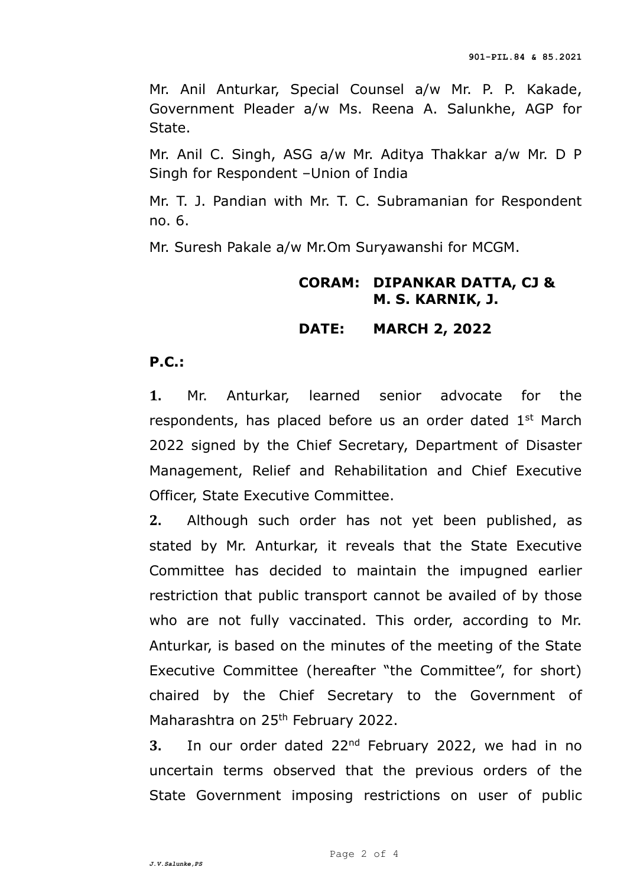Mr. Anil Anturkar, Special Counsel a/w Mr. P. P. Kakade, Government Pleader a/w Ms. Reena A. Salunkhe, AGP for State.

Mr. Anil C. Singh, ASG a/w Mr. Aditya Thakkar a/w Mr. D P Singh for Respondent –Union of India

Mr. T. J. Pandian with Mr. T. C. Subramanian for Respondent no. 6.

Mr. Suresh Pakale a/w Mr.Om Suryawanshi for MCGM.

# **CORAM: DIPANKAR DATTA, CJ & M. S. KARNIK, J.**

## **DATE: MARCH 2, 2022**

## **P.C.:**

**1.** Mr. Anturkar, learned senior advocate for the respondents, has placed before us an order dated 1<sup>st</sup> March 2022 signed by the Chief Secretary, Department of Disaster Management, Relief and Rehabilitation and Chief Executive Officer, State Executive Committee.

**2.** Although such order has not yet been published, as stated by Mr. Anturkar, it reveals that the State Executive Committee has decided to maintain the impugned earlier restriction that public transport cannot be availed of by those who are not fully vaccinated. This order, according to Mr. Anturkar, is based on the minutes of the meeting of the State Executive Committee (hereafter "the Committee", for short) chaired by the Chief Secretary to the Government of Maharashtra on 25<sup>th</sup> February 2022.

**3.** In our order dated 22nd February 2022, we had in no uncertain terms observed that the previous orders of the State Government imposing restrictions on user of public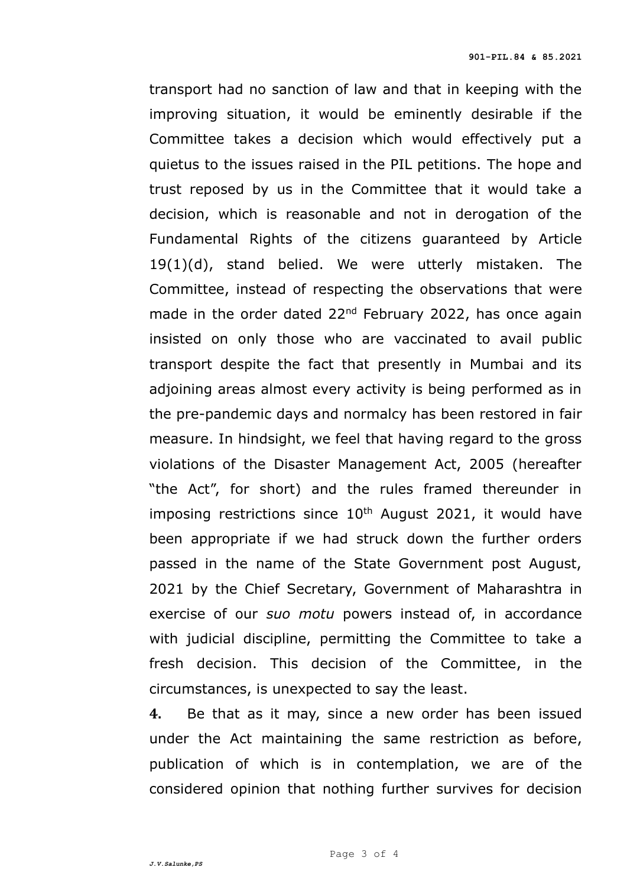transport had no sanction of law and that in keeping with the improving situation, it would be eminently desirable if the Committee takes a decision which would effectively put a quietus to the issues raised in the PIL petitions. The hope and trust reposed by us in the Committee that it would take a decision, which is reasonable and not in derogation of the Fundamental Rights of the citizens guaranteed by Article 19(1)(d), stand belied. We were utterly mistaken. The Committee, instead of respecting the observations that were made in the order dated 22<sup>nd</sup> February 2022, has once again insisted on only those who are vaccinated to avail public transport despite the fact that presently in Mumbai and its adjoining areas almost every activity is being performed as in the pre-pandemic days and normalcy has been restored in fair measure. In hindsight, we feel that having regard to the gross violations of the Disaster Management Act, 2005 (hereafter "the Act", for short) and the rules framed thereunder in imposing restrictions since  $10<sup>th</sup>$  August 2021, it would have been appropriate if we had struck down the further orders passed in the name of the State Government post August, 2021 by the Chief Secretary, Government of Maharashtra in exercise of our *suo motu* powers instead of, in accordance with judicial discipline, permitting the Committee to take a fresh decision. This decision of the Committee, in the circumstances, is unexpected to say the least.

**4.** Be that as it may, since a new order has been issued under the Act maintaining the same restriction as before, publication of which is in contemplation, we are of the considered opinion that nothing further survives for decision